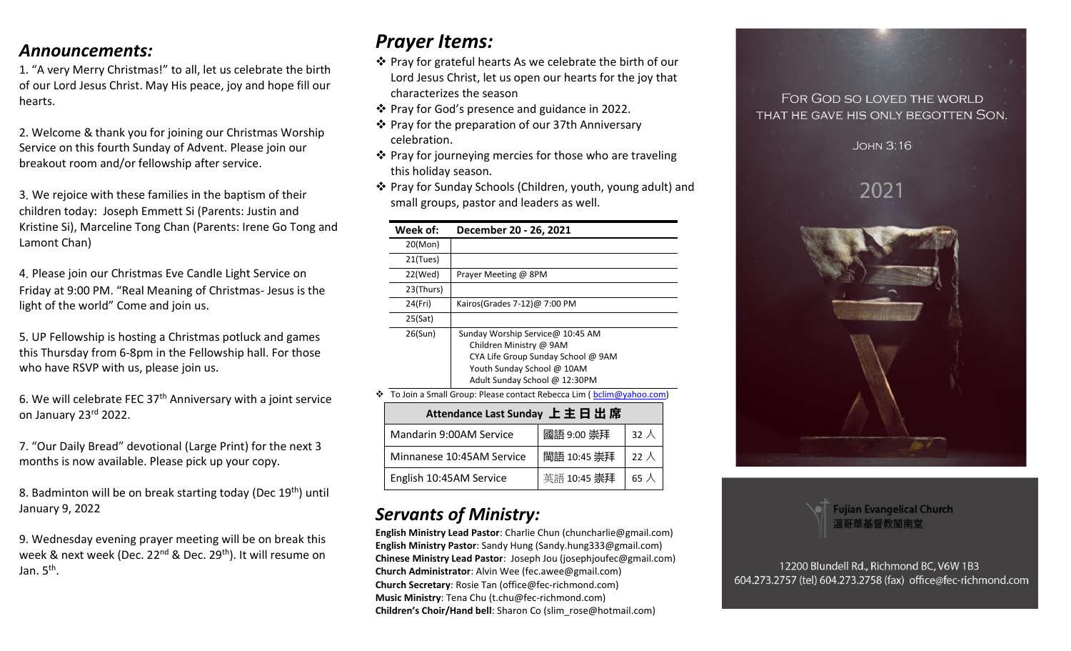## *Announcements:*

1. "A very Merry Christmas!" to all, let us celebrate the birth of our Lord Jesus Christ. May His peace, joy and hope fill our hearts.

2. Welcome & thank you for joining our Christmas Worship Service on this fourth Sunday of Advent. Please join our breakout room and/or fellowship after service.

3. We rejoice with these families in the baptism of their children today: Joseph Emmett Si (Parents: Justin and Kristine Si), Marceline Tong Chan (Parents: Irene Go Tong and Lamont Chan)

4. Please join our Christmas Eve Candle Light Service on Friday at 9:00 PM. "Real Meaning of Christmas- Jesus is the light of the world" Come and join us.

5. UP Fellowship is hosting a Christmas potluck and games this Thursday from 6-8pm in the Fellowship hall. For those who have RSVP with us, please join us.

6. We will celebrate FEC 37<sup>th</sup> Anniversary with a joint service on January 23rd 2022.

7. "Our Daily Bread" devotional (Large Print) for the next 3 months is now available. Please pick up your copy.

8. Badminton will be on break starting today (Dec 19<sup>th</sup>) until January 9, 2022

9. Wednesday evening prayer meeting will be on break this week & next week (Dec. 22<sup>nd</sup> & Dec. 29<sup>th</sup>). It will resume on Jan. 5<sup>th</sup>.

# *Prayer Items:*

- ❖ Pray for grateful hearts As we celebrate the birth of our Lord Jesus Christ, let us open our hearts for the joy that characterizes the season
- ❖ Pray for God's presence and guidance in 2022.
- ❖ Pray for the preparation of our 37th Anniversary celebration.
- ❖ Pray for journeying mercies for those who are traveling this holiday season.
- ❖ Pray for Sunday Schools (Children, youth, young adult) and small groups, pastor and leaders as well.

| Week of:                                                                 | December 20 - 26, 2021             |  |
|--------------------------------------------------------------------------|------------------------------------|--|
| 20(Mon)                                                                  |                                    |  |
| 21(Tues)                                                                 |                                    |  |
| 22(Wed)                                                                  | Prayer Meeting @ 8PM               |  |
| 23(Thurs)                                                                |                                    |  |
| 24(Fri)                                                                  | Kairos(Grades 7-12) $@$ 7:00 PM    |  |
| 25(Sat)                                                                  |                                    |  |
| 26(Sun)                                                                  | Sunday Worship Service@ 10:45 AM   |  |
|                                                                          | Children Ministry @ 9AM            |  |
|                                                                          | CYA Life Group Sunday School @ 9AM |  |
|                                                                          | Youth Sunday School @ 10AM         |  |
|                                                                          | Adult Sunday School @ 12:30PM      |  |
| To Join a Small Group: Please contact Rebecca Lim (bclim@yahoo.com)<br>❖ |                                    |  |
|                                                                          |                                    |  |

| Attendance Last Sunday 上主日出席 |             |              |  |  |
|------------------------------|-------------|--------------|--|--|
| Mandarin 9:00AM Service      | 國語 9:00 崇拜  | $32 \lambda$ |  |  |
| Minnanese 10:45AM Service    | 閩語 10:45 崇拜 | 22 $\lambda$ |  |  |
| English 10:45AM Service      | 英語 10:45 崇拜 | 65 $\lambda$ |  |  |

# *Servants of Ministry:*

**English Ministry Lead Pastor**: Charlie Chun (chuncharlie@gmail.com) **English Ministry Pastor**: Sandy Hung (Sandy.hung333@gmail.com) **Chinese Ministry Lead Pastor**: Joseph Jou (josephjoufec@gmail.com) **Church Administrator**: Alvin Wee (fec.awee@gmail.com) **Church Secretary**: Rosie Tan (office@fec-richmond.com) **Music Ministry**: Tena Chu (t.chu@fec-richmond.com) **Children's Choir/Hand bell**: Sharon Co (slim\_rose@hotmail.com)

## FOR GOD SO LOVED THE WORLD THAT HE GAVE HIS ONLY BEGOTTEN SON.

**JOHN 3:16** 

2021





12200 Blundell Rd., Richmond BC, V6W 1B3 604.273.2757 (tel) 604.273.2758 (fax) office@fec-richmond.com